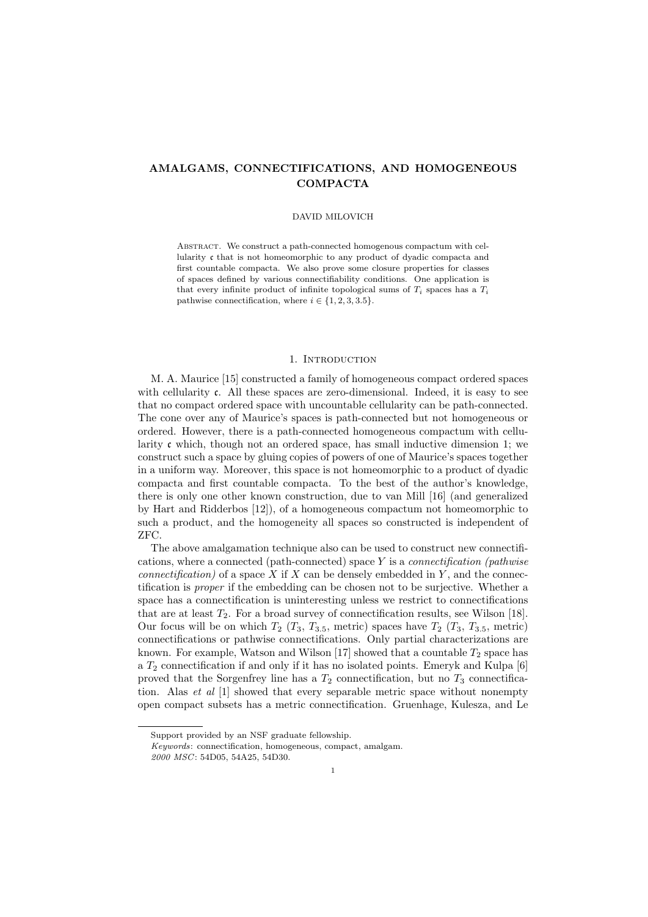# AMALGAMS, CONNECTIFICATIONS, AND HOMOGENEOUS COMPACTA

#### DAVID MILOVICH

Abstract. We construct a path-connected homogenous compactum with cellularity c that is not homeomorphic to any product of dyadic compacta and first countable compacta. We also prove some closure properties for classes of spaces defined by various connectifiability conditions. One application is that every infinite product of infinite topological sums of  $T_i$  spaces has a  $T_i$ pathwise connectification, where  $i \in \{1, 2, 3, 3.5\}.$ 

### 1. Introduction

M. A. Maurice [15] constructed a family of homogeneous compact ordered spaces with cellularity c. All these spaces are zero-dimensional. Indeed, it is easy to see that no compact ordered space with uncountable cellularity can be path-connected. The cone over any of Maurice's spaces is path-connected but not homogeneous or ordered. However, there is a path-connected homogeneous compactum with cellularity  $\mathfrak c$  which, though not an ordered space, has small inductive dimension 1; we construct such a space by gluing copies of powers of one of Maurice's spaces together in a uniform way. Moreover, this space is not homeomorphic to a product of dyadic compacta and first countable compacta. To the best of the author's knowledge, there is only one other known construction, due to van Mill [16] (and generalized by Hart and Ridderbos [12]), of a homogeneous compactum not homeomorphic to such a product, and the homogeneity all spaces so constructed is independent of ZFC.

The above amalgamation technique also can be used to construct new connectifications, where a connected (path-connected) space Y is a *connectification (pathwise* connectification) of a space X if X can be densely embedded in Y, and the connectification is proper if the embedding can be chosen not to be surjective. Whether a space has a connectification is uninteresting unless we restrict to connectifications that are at least  $T_2$ . For a broad survey of connectification results, see Wilson [18]. Our focus will be on which  $T_2$  ( $T_3$ ,  $T_{3.5}$ , metric) spaces have  $T_2$  ( $T_3$ ,  $T_{3.5}$ , metric) connectifications or pathwise connectifications. Only partial characterizations are known. For example, Watson and Wilson [17] showed that a countable  $T_2$  space has a  $T_2$  connectification if and only if it has no isolated points. Emeryk and Kulpa [6] proved that the Sorgenfrey line has a  $T_2$  connectification, but no  $T_3$  connectification. Alas et al [1] showed that every separable metric space without nonempty open compact subsets has a metric connectification. Gruenhage, Kulesza, and Le

Support provided by an NSF graduate fellowship.

Keywords: connectification, homogeneous, compact, amalgam.

<sup>2000</sup> MSC: 54D05, 54A25, 54D30.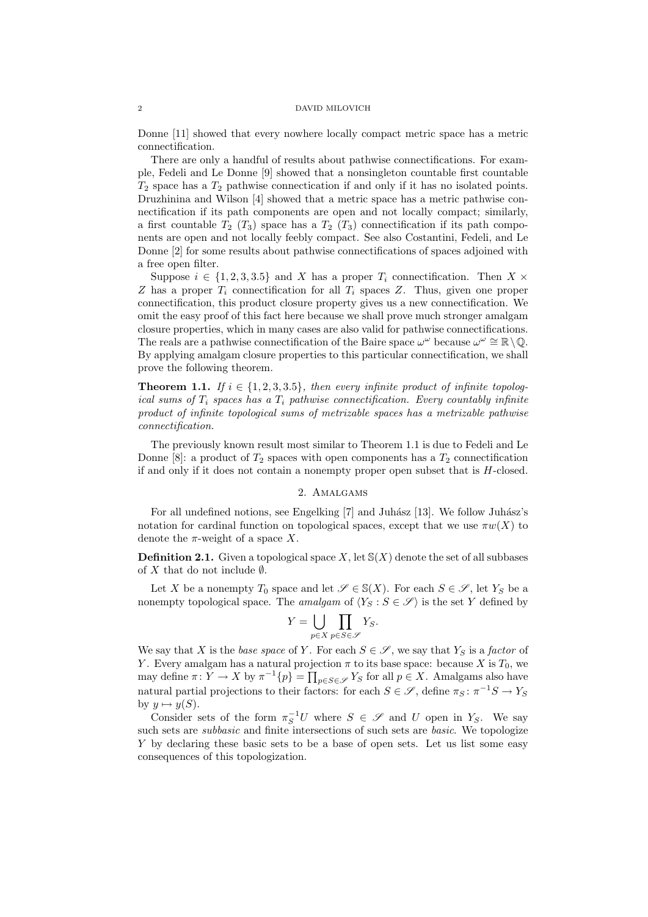Donne [11] showed that every nowhere locally compact metric space has a metric connectification.

There are only a handful of results about pathwise connectifications. For example, Fedeli and Le Donne [9] showed that a nonsingleton countable first countable  $T_2$  space has a  $T_2$  pathwise connectication if and only if it has no isolated points. Druzhinina and Wilson [4] showed that a metric space has a metric pathwise connectification if its path components are open and not locally compact; similarly, a first countable  $T_2$  ( $T_3$ ) space has a  $T_2$  ( $T_3$ ) connectification if its path components are open and not locally feebly compact. See also Costantini, Fedeli, and Le Donne [2] for some results about pathwise connectifications of spaces adjoined with a free open filter.

Suppose  $i \in \{1, 2, 3, 3.5\}$  and X has a proper  $T_i$  connectification. Then  $X \times$ Z has a proper  $T_i$  connectification for all  $T_i$  spaces Z. Thus, given one proper connectification, this product closure property gives us a new connectification. We omit the easy proof of this fact here because we shall prove much stronger amalgam closure properties, which in many cases are also valid for pathwise connectifications. The reals are a pathwise connectification of the Baire space  $\omega^{\omega}$  because  $\omega^{\omega} \cong \mathbb{R}\setminus\mathbb{Q}$ . By applying amalgam closure properties to this particular connectification, we shall prove the following theorem.

**Theorem 1.1.** If  $i \in \{1, 2, 3, 3.5\}$ , then every infinite product of infinite topological sums of  $T_i$  spaces has a  $T_i$  pathwise connectification. Every countably infinite product of infinite topological sums of metrizable spaces has a metrizable pathwise connectification.

The previously known result most similar to Theorem 1.1 is due to Fedeli and Le Donne [8]: a product of  $T_2$  spaces with open components has a  $T_2$  connectification if and only if it does not contain a nonempty proper open subset that is H-closed.

# 2. Amalgams

For all undefined notions, see Engelking [7] and Juhász [13]. We follow Juhász's notation for cardinal function on topological spaces, except that we use  $\pi w(X)$  to denote the  $\pi$ -weight of a space X.

**Definition 2.1.** Given a topological space X, let  $S(X)$  denote the set of all subbases of X that do not include  $\emptyset$ .

Let X be a nonempty  $T_0$  space and let  $\mathscr{S} \in \mathbb{S}(X)$ . For each  $S \in \mathscr{S}$ , let  $Y_S$  be a nonempty topological space. The amalgam of  $\langle Y_S : S \in \mathscr{S} \rangle$  is the set Y defined by

$$
Y = \bigcup_{p \in X} \prod_{p \in S \in \mathscr{S}} Y_S.
$$

We say that X is the base space of Y. For each  $S \in \mathscr{S}$ , we say that  $Y_S$  is a factor of Y. Every amalgam has a natural projection  $\pi$  to its base space: because X is  $T_0$ , we may define  $\pi: Y \to X$  by  $\pi^{-1}{p} = \prod_{p \in S \in \mathscr{S}} Y_S$  for all  $p \in X$ . Amalgams also have natural partial projections to their factors: for each  $S \in \mathscr{S}$ , define  $\pi_S : \pi^{-1}S \to Y_S$ by  $y \mapsto y(S)$ .

Consider sets of the form  $\pi_S^{-1}U$  where  $S \in \mathscr{S}$  and U open in  $Y_S$ . We say such sets are *subbasic* and finite intersections of such sets are *basic*. We topologize Y by declaring these basic sets to be a base of open sets. Let us list some easy consequences of this topologization.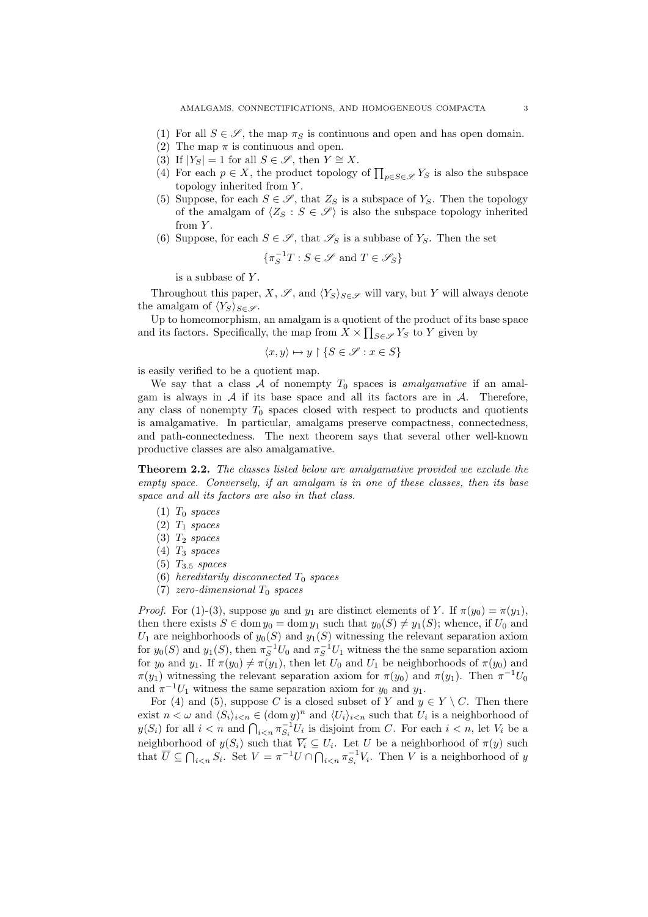- 
- (1) For all  $S \in \mathscr{S}$ , the map  $\pi_S$  is continuous and open and has open domain.
- (2) The map  $\pi$  is continuous and open.
- (3) If  $|Y_S| = 1$  for all  $S \in \mathscr{S}$ , then  $Y \cong X$ .
- (4) For each  $p \in X$ , the product topology of  $\prod_{p \in S \in \mathscr{S}} Y_S$  is also the subspace topology inherited from Y .
- (5) Suppose, for each  $S \in \mathscr{S}$ , that  $Z_S$  is a subspace of  $Y_S$ . Then the topology of the amalgam of  $\langle Z_S : S \in \mathscr{S} \rangle$  is also the subspace topology inherited from  $Y$ .
- (6) Suppose, for each  $S \in \mathscr{S}$ , that  $\mathscr{S}_S$  is a subbase of  $Y_S$ . Then the set

$$
\{\pi^{-1}_ST:S\in\mathscr{S}\text{ and }T\in\mathscr{S}_S\}
$$

is a subbase of Y .

Throughout this paper, X,  $\mathscr{S}$ , and  $\langle Y_S \rangle_{S \in \mathscr{S}}$  will vary, but Y will always denote the amalgam of  $\langle Y_S \rangle_{S \in \mathscr{S}}$ .

Up to homeomorphism, an amalgam is a quotient of the product of its base space and its factors. Specifically, the map from  $X \times \prod_{S \in \mathscr{S}} Y_S$  to Y given by

$$
\langle x, y \rangle \mapsto y \upharpoonright \{ S \in \mathscr{S} : x \in S \}
$$

is easily verified to be a quotient map.

We say that a class  $A$  of nonempty  $T_0$  spaces is *amalgamative* if an amalgam is always in  $A$  if its base space and all its factors are in  $A$ . Therefore, any class of nonempty  $T_0$  spaces closed with respect to products and quotients is amalgamative. In particular, amalgams preserve compactness, connectedness, and path-connectedness. The next theorem says that several other well-known productive classes are also amalgamative.

Theorem 2.2. The classes listed below are amalgamative provided we exclude the empty space. Conversely, if an amalgam is in one of these classes, then its base space and all its factors are also in that class.

- $(1)$   $T_0$  spaces
- $(2)$   $T_1$  spaces
- $(3)$   $T_2$  spaces
- $(4)$   $T_3$  spaces
- $(5)$   $T_{3.5}$  spaces
- (6) hereditarily disconnected  $T_0$  spaces
- (7) zero-dimensional  $T_0$  spaces

*Proof.* For (1)-(3), suppose  $y_0$  and  $y_1$  are distinct elements of Y. If  $\pi(y_0) = \pi(y_1)$ , then there exists  $S \in \text{dom } y_0 = \text{dom } y_1$  such that  $y_0(S) \neq y_1(S)$ ; whence, if  $U_0$  and  $U_1$  are neighborhoods of  $y_0(S)$  and  $y_1(S)$  witnessing the relevant separation axiom for  $y_0(S)$  and  $y_1(S)$ , then  $\pi_S^{-1}U_0$  and  $\pi_S^{-1}U_1$  witness the the same separation axiom for  $y_0$  and  $y_1$ . If  $\pi(y_0) \neq \pi(y_1)$ , then let  $U_0$  and  $U_1$  be neighborhoods of  $\pi(y_0)$  and  $\pi(y_1)$  witnessing the relevant separation axiom for  $\pi(y_0)$  and  $\pi(y_1)$ . Then  $\pi^{-1}U_0$ and  $\pi^{-1}U_1$  witness the same separation axiom for  $y_0$  and  $y_1$ .

For (4) and (5), suppose C is a closed subset of Y and  $y \in Y \setminus C$ . Then there exist  $n < \omega$  and  $\langle S_i \rangle_{i \le n} \in (\text{dom } y)^n$  and  $\langle U_i \rangle_{i \le n}$  such that  $U_i$  is a neighborhood of  $y(S_i)$  for all  $i < n$  and  $\bigcap_{i \le n} \pi_{S_i}^{-1} U_i$  is disjoint from C. For each  $i < n$ , let  $V_i$  be a neighborhood of  $y(S_i)$  such that  $\overline{V_i} \subseteq U_i$ . Let U be a neighborhood of  $\pi(y)$  such that  $\overline{U} \subseteq \bigcap_{i \leq n} S_i$ . Set  $V = \pi^{-1}U \cap \bigcap_{i \leq n} \pi_{S_i}^{-1}V_i$ . Then V is a neighborhood of y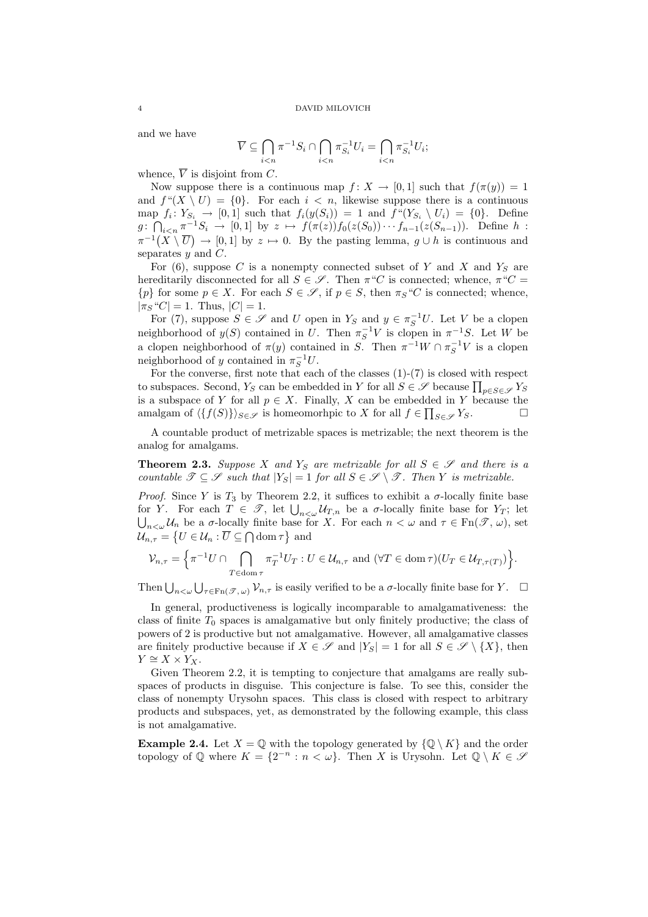and we have

$$
\overline{V} \subseteq \bigcap_{i < n} \pi^{-1} S_i \cap \bigcap_{i < n} \pi_{S_i}^{-1} U_i = \bigcap_{i < n} \pi_{S_i}^{-1} U_i;
$$

whence,  $\overline{V}$  is disjoint from C.

Now suppose there is a continuous map  $f: X \to [0,1]$  such that  $f(\pi(y)) = 1$ and  $f''(X \setminus U) = \{0\}$ . For each  $i < n$ , likewise suppose there is a continuous map  $f_i: Y_{S_i} \to [0,1]$  such that  $f_i(y(S_i)) = 1$  and  $f''(Y_{S_i} \setminus U_i) = \{0\}$ . Define  $g: \bigcap_{i \leq n} \pi^{-1}S_i \to [0,1]$  by  $z \mapsto f(\pi(z))f_0(z(S_0))\cdots f_{n-1}(z(S_{n-1}))$ . Define  $h$ :  $\pi^{-1}(X \setminus \overline{U}) \to [0,1]$  by  $z \mapsto 0$ . By the pasting lemma,  $g \cup h$  is continuous and separates  $y$  and  $C$ .

For  $(6)$ , suppose C is a nonempty connected subset of Y and X and Y<sub>S</sub> are hereditarily disconnected for all  $S \in \mathscr{S}$ . Then  $\pi^{\omega}C$  is connected; whence,  $\pi^{\omega}C =$  ${p}$  for some  $p \in X$ . For each  $S \in \mathscr{S}$ , if  $p \in S$ , then  $\pi_S "C$  is connected; whence,  $|\pi_S "C| = 1$ . Thus,  $|C| = 1$ .

For (7), suppose  $S \in \mathscr{S}$  and U open in  $Y_S$  and  $y \in \pi_S^{-1}U$ . Let V be a clopen neighborhood of  $y(S)$  contained in U. Then  $\pi_S^{-1}V$  is clopen in  $\pi^{-1}S$ . Let W be a clopen neighborhood of  $\pi(y)$  contained in S. Then  $\pi^{-1}W \cap \pi_S^{-1}V$  is a clopen neighborhood of y contained in  $\pi_S^{-1}U$ .

For the converse, first note that each of the classes  $(1)-(7)$  is closed with respect to subspaces. Second,  $Y_S$  can be embedded in Y for all  $S \in \mathscr{S}$  because  $\prod_{p \in S \in \mathscr{S}} Y_S$ is a subspace of Y for all  $p \in X$ . Finally, X can be embedded in Y because the amalgam of  $\langle \{f(S)\}\rangle_{S \in \mathscr{S}}$  is homeomorhpic to X for all  $f \in \prod_{S \in \mathscr{S}} Y_S$ .

A countable product of metrizable spaces is metrizable; the next theorem is the analog for amalgams.

**Theorem 2.3.** Suppose X and  $Y_S$  are metrizable for all  $S \in \mathscr{S}$  and there is a countable  $\mathscr{T} \subseteq \mathscr{S}$  such that  $|Y_S| = 1$  for all  $S \in \mathscr{S} \setminus \mathscr{T}$ . Then Y is metrizable.

*Proof.* Since Y is  $T_3$  by Theorem 2.2, it suffices to exhibit a  $\sigma$ -locally finite base for Y. For each  $T \in \mathscr{T}$ , let  $\bigcup_{n<\omega} \mathcal{U}_{T,n}$  be a  $\sigma$ -locally finite base for  $Y_T$ ; let  $\bigcup_{n<\omega}\mathcal{U}_n$  be a  $\sigma$ -locally finite base for X. For each  $n<\omega$  and  $\tau\in\mathrm{Fn}(\mathscr{T},\omega)$ , set  $\mathcal{U}_{n,\tau} = \left\{ U \in \mathcal{U}_n : \overline{U} \subseteq \bigcap \text{dom } \tau \right\}$  and

$$
\mathcal{V}_{n,\tau} = \left\{ \pi^{-1} U \cap \bigcap_{T \in \text{dom}\,\tau} \pi_T^{-1} U_T : U \in \mathcal{U}_{n,\tau} \text{ and } (\forall T \in \text{dom}\,\tau)(U_T \in \mathcal{U}_{T,\tau(T)}) \right\}.
$$

Then  $\bigcup_{n<\omega}\bigcup_{\tau\in\mathrm{Fn}(\mathscr{T},\omega)}\mathcal{V}_{n,\tau}$  is easily verified to be a  $\sigma$ -locally finite base for  $Y$ .  $\Box$ 

In general, productiveness is logically incomparable to amalgamativeness: the class of finite  $T_0$  spaces is amalgamative but only finitely productive; the class of powers of 2 is productive but not amalgamative. However, all amalgamative classes are finitely productive because if  $X \in \mathscr{S}$  and  $|Y_S| = 1$  for all  $S \in \mathscr{S} \setminus \{X\}$ , then  $Y \cong X \times Y_X$ .

Given Theorem 2.2, it is tempting to conjecture that amalgams are really subspaces of products in disguise. This conjecture is false. To see this, consider the class of nonempty Urysohn spaces. This class is closed with respect to arbitrary products and subspaces, yet, as demonstrated by the following example, this class is not amalgamative.

**Example 2.4.** Let  $X = \mathbb{Q}$  with the topology generated by  $\{\mathbb{Q} \setminus K\}$  and the order topology of  $\mathbb Q$  where  $K = \{2^{-n} : n < \omega\}$ . Then X is Urysohn. Let  $\mathbb Q \setminus K \in \mathcal S$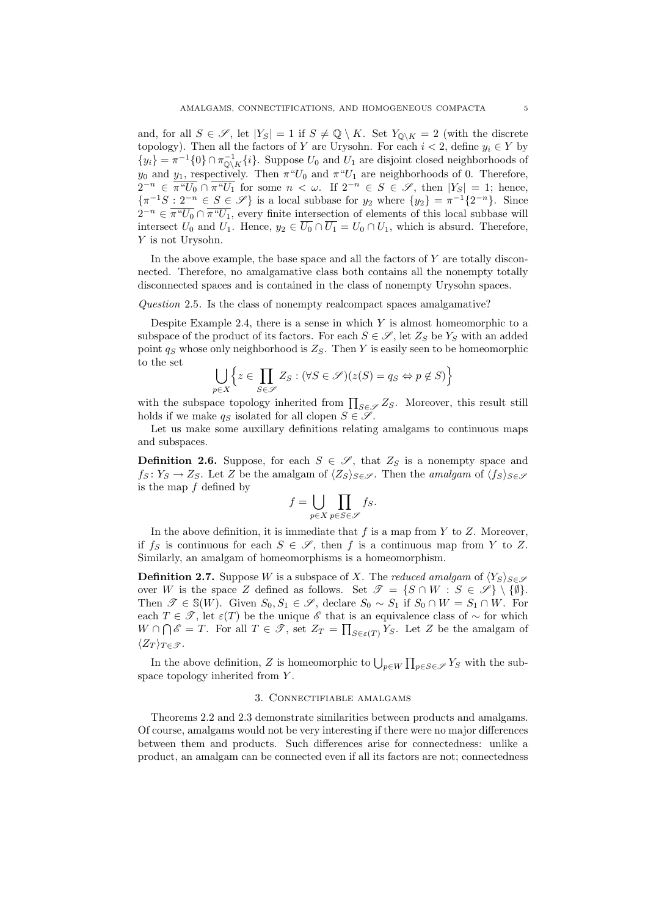and, for all  $S \in \mathscr{S}$ , let  $|Y_S| = 1$  if  $S \neq \mathbb{Q} \setminus K$ . Set  $Y_{\mathbb{Q} \setminus K} = 2$  (with the discrete topology). Then all the factors of Y are Urysohn. For each  $i < 2$ , define  $y_i \in Y$  by  $\{y_i\} = \pi^{-1}\{0\} \cap \pi_{\mathbb{Q}\setminus K}^{-1}\{i\}.$  Suppose  $U_0$  and  $U_1$  are disjoint closed neighborhoods of  $y_0$  and  $y_1$ , respectively. Then  $\pi^{\omega}U_0$  and  $\pi^{\omega}U_1$  are neighborhoods of 0. Therefore,  $2^{-n} \in \overline{\pi^n U_0} \cap \overline{\pi^n U_1}$  for some  $n < \omega$ . If  $2^{-n} \in S \in \mathscr{S}$ , then  $|Y_S| = 1$ ; hence,  $\{\pi^{-1}S : 2^{-n} \in S \in \mathscr{S}\}\$ is a local subbase for  $y_2$  where  $\{y_2\} = \pi^{-1}\{2^{-n}\}\$ . Since  $2^{-n} \in \overline{\pi^n U_0} \cap \overline{\pi^n U_1}$ , every finite intersection of elements of this local subbase will intersect  $U_0$  and  $U_1$ . Hence,  $y_2 \in \overline{U_0} \cap \overline{U_1} = U_0 \cap U_1$ , which is absurd. Therefore, Y is not Urysohn.

In the above example, the base space and all the factors of  $Y$  are totally disconnected. Therefore, no amalgamative class both contains all the nonempty totally disconnected spaces and is contained in the class of nonempty Urysohn spaces.

Question 2.5. Is the class of nonempty realcompact spaces amalgamative?

Despite Example 2.4, there is a sense in which  $Y$  is almost homeomorphic to a subspace of the product of its factors. For each  $S \in \mathscr{S}$ , let  $Z_S$  be  $Y_S$  with an added point  $q_S$  whose only neighborhood is  $Z_S$ . Then Y is easily seen to be homeomorphic to the set

$$
\bigcup_{p\in X} \left\{ z \in \prod_{S \in \mathscr{S}} Z_S : (\forall S \in \mathscr{S})(z(S) = q_S \Leftrightarrow p \notin S) \right\}
$$

with the subspace topology inherited from  $\prod_{S \in \mathscr{S}} Z_S$ . Moreover, this result still holds if we make  $q_S$  isolated for all clopen  $S \in \mathscr{S}$ .

Let us make some auxillary definitions relating amalgams to continuous maps and subspaces.

**Definition 2.6.** Suppose, for each  $S \in \mathscr{S}$ , that  $Z_S$  is a nonempty space and  $f_S: Y_S \to Z_S$ . Let Z be the amalgam of  $\langle Z_S \rangle_{S \in \mathscr{S}}$ . Then the amalgam of  $\langle f_S \rangle_{S \in \mathscr{S}}$ is the map  $f$  defined by

$$
f = \bigcup_{p \in X} \prod_{p \in S \in \mathscr{S}} f_S.
$$

In the above definition, it is immediate that  $f$  is a map from  $Y$  to  $Z$ . Moreover, if  $f_S$  is continuous for each  $S \in \mathscr{S}$ , then f is a continuous map from Y to Z. Similarly, an amalgam of homeomorphisms is a homeomorphism.

**Definition 2.7.** Suppose W is a subspace of X. The reduced amalgam of  $\langle Y_S \rangle_{S \in \mathscr{S}}$ over W is the space Z defined as follows. Set  $\mathscr{T} = \{ S \cap W : S \in \mathscr{S} \} \setminus \{ \emptyset \}.$ Then  $\mathscr{T} \in \mathbb{S}(W)$ . Given  $S_0, S_1 \in \mathscr{S}$ , declare  $S_0 \sim S_1$  if  $S_0 \cap W = S_1 \cap W$ . For each  $T \in \mathscr{T}$ , let  $\varepsilon(T)$  be the unique  $\mathscr{E}$  that is an equivalence class of  $\sim$  for which  $W \cap \bigcap \mathscr{E} = T$ . For all  $T \in \mathscr{T}$ , set  $Z_T = \prod_{S \in \varepsilon(T)} Y_S$ . Let Z be the amalgam of  $\langle Z_T \rangle_{T \in \mathscr{T}}$ .

In the above definition, Z is homeomorphic to  $\bigcup_{p\in W} \prod_{p\in S\in \mathscr{S}} Y_S$  with the subspace topology inherited from Y.

# 3. Connectifiable amalgams

Theorems 2.2 and 2.3 demonstrate similarities between products and amalgams. Of course, amalgams would not be very interesting if there were no major differences between them and products. Such differences arise for connectedness: unlike a product, an amalgam can be connected even if all its factors are not; connectedness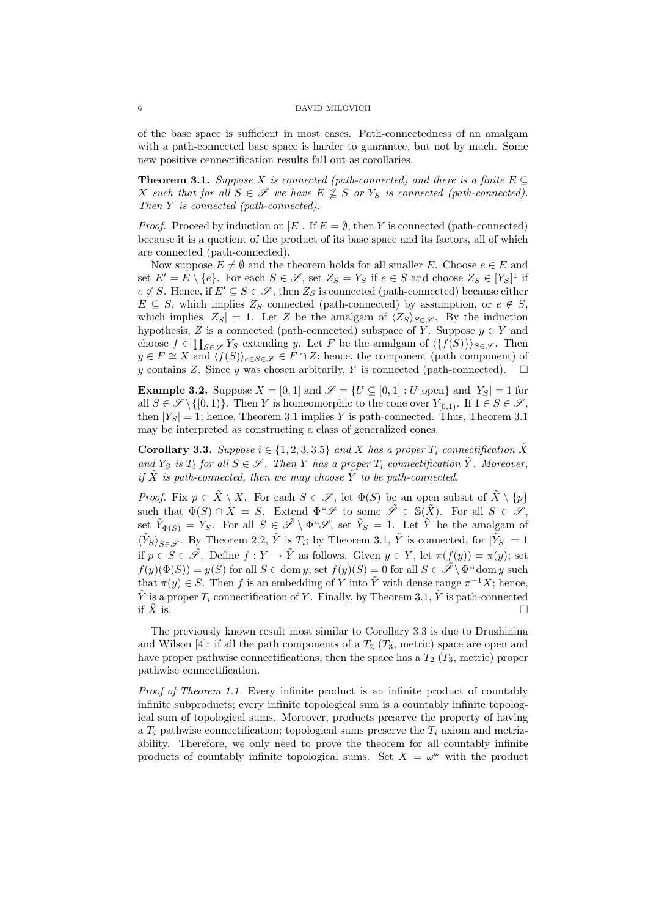of the base space is sufficient in most cases. Path-connectedness of an amalgam with a path-connected base space is harder to guarantee, but not by much. Some new positive cennectification results fall out as corollaries.

**Theorem 3.1.** Suppose X is connected (path-connected) and there is a finite  $E \subseteq$ X such that for all  $S \in \mathscr{S}$  we have  $E \nsubseteq S$  or  $Y_S$  is connected (path-connected). Then Y is connected (path-connected).

*Proof.* Proceed by induction on |E|. If  $E = \emptyset$ , then Y is connected (path-connected) because it is a quotient of the product of its base space and its factors, all of which are connected (path-connected).

Now suppose  $E \neq \emptyset$  and the theorem holds for all smaller E. Choose  $e \in E$  and set  $E' = E \setminus \{e\}$ . For each  $S \in \mathscr{S}$ , set  $Z_S = Y_S$  if  $e \in S$  and choose  $Z_S \in [Y_S]^1$  if  $e \notin S$ . Hence, if  $E' \subseteq S \in \mathscr{S}$ , then  $Z_S$  is connected (path-connected) because either  $E \subseteq S$ , which implies  $Z_S$  connected (path-connected) by assumption, or  $e \notin S$ , which implies  $|Z_S| = 1$ . Let Z be the amalgam of  $\langle Z_S \rangle_{S \in \mathscr{S}}$ . By the induction hypothesis, Z is a connected (path-connected) subspace of Y. Suppose  $y \in Y$  and choose  $f \in \prod_{S \in \mathscr{S}} Y_S$  extending y. Let F be the amalgam of  $\langle \{f(S)\} \rangle_{S \in \mathscr{S}}$ . Then  $y \in F \cong X$  and  $\langle f(S) \rangle_{e \in S \in \mathcal{S}} \in F \cap Z$ ; hence, the component (path component) of y contains Z. Since y was chosen arbitrarily, Y is connected (path-connected).  $\square$ 

**Example 3.2.** Suppose  $X = [0, 1]$  and  $\mathscr{S} = \{U \subseteq [0, 1] : U$  open and  $|Y_S| = 1$  for all  $S \in \mathscr{S} \setminus \{[0,1)\}\$ . Then Y is homeomorphic to the cone over  $Y_{[0,1)}$ . If  $1 \in S \in \mathscr{S}$ , then  $|Y_S| = 1$ ; hence, Theorem 3.1 implies Y is path-connected. Thus, Theorem 3.1 may be interpreted as constructing a class of generalized cones.

**Corollary 3.3.** Suppose  $i \in \{1, 2, 3, 3.5\}$  and X has a proper  $T_i$  connectification  $\tilde{X}$ and  $Y_S$  is  $T_i$  for all  $S \in \mathscr{S}$ . Then Y has a proper  $T_i$  connectification  $\tilde{Y}$ . Moreover, if  $\tilde{X}$  is path-connected, then we may choose  $\tilde{Y}$  to be path-connected.

*Proof.* Fix  $p \in \tilde{X} \setminus X$ . For each  $S \in \mathscr{S}$ , let  $\Phi(S)$  be an open subset of  $\tilde{X} \setminus \{p\}$ such that  $\Phi(S) \cap X = S$ . Extend  $\Phi^* \mathscr{S}$  to some  $\tilde{\mathscr{S}} \in \mathbb{S}(\tilde{X})$ . For all  $S \in \mathscr{S}$ , set  $\tilde{Y}_{\Phi(S)} = Y_S$ . For all  $S \in \tilde{\mathscr{S}} \setminus \Phi^* \mathscr{S}$ , set  $\tilde{Y}_S = 1$ . Let  $\tilde{Y}$  be the amalgam of  $\langle \tilde{Y}_S \rangle_{S \in \tilde{\mathscr{I}}}$ . By Theorem 2.2,  $\tilde{Y}$  is  $T_i$ ; by Theorem 3.1,  $\tilde{Y}$  is connected, for  $|\tilde{Y}_S| = 1$ if  $p \in S \in \tilde{\mathscr{S}}$ . Define  $f: Y \to \tilde{Y}$  as follows. Given  $y \in Y$ , let  $\pi(f(y)) = \pi(y)$ ; set  $f(y)(\Phi(S)) = y(S)$  for all  $S \in \text{dom } y$ ; set  $f(y)(S) = 0$  for all  $S \in \tilde{\mathscr{S}} \backslash \Phi^*$  dom y such that  $\pi(y) \in S$ . Then f is an embedding of Y into  $\tilde{Y}$  with dense range  $\pi^{-1}X$ ; hence,  $\tilde{Y}$  is a proper  $T_i$  connectification of Y. Finally, by Theorem 3.1,  $\tilde{Y}$  is path-connected if  $\tilde{X}$  is.

The previously known result most similar to Corollary 3.3 is due to Druzhinina and Wilson [4]: if all the path components of a  $T_2$  ( $T_3$ , metric) space are open and have proper pathwise connectifications, then the space has a  $T_2$  ( $T_3$ , metric) proper pathwise connectification.

Proof of Theorem 1.1. Every infinite product is an infinite product of countably infinite subproducts; every infinite topological sum is a countably infinite topological sum of topological sums. Moreover, products preserve the property of having a  $T_i$  pathwise connectification; topological sums preserve the  $T_i$  axiom and metrizability. Therefore, we only need to prove the theorem for all countably infinite products of countably infinite topological sums. Set  $X = \omega^{\omega}$  with the product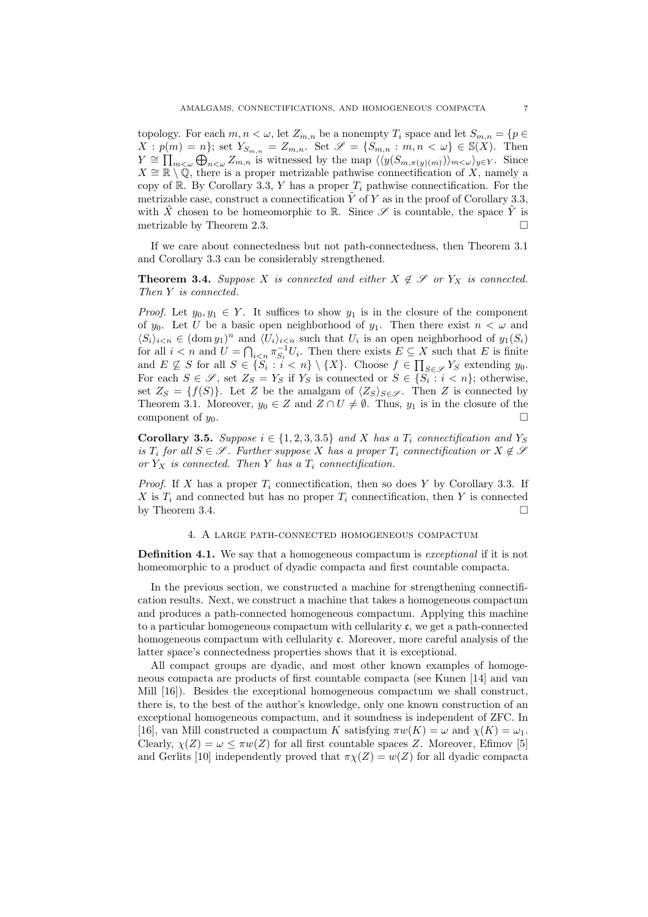topology. For each  $m, n < \omega$ , let  $Z_{m,n}$  be a nonempty  $T_i$  space and let  $S_{m,n} = \{p \in$  $X: p(m) = n$ ; set  $Y_{S_{m,n}} = Z_{m,n}$ . Set  $\mathscr{S} = \{S_{m,n} : m,n < \omega\} \in \mathbb{S}(X)$ . Then  $Y \cong \prod_{m < \omega} \bigoplus_{n < \omega} Z_{m,n}$  is witnessed by the map  $\langle \langle y(S_{m,\pi(y)(m)}) \rangle_{m < \omega} \rangle_{y \in Y}$ . Since  $X \cong \mathbb{R} \setminus \mathbb{Q}$ , there is a proper metrizable pathwise connectification of X, namely a copy of R. By Corollary 3.3, Y has a proper  $T_i$  pathwise connectification. For the metrizable case, construct a connectification  $\tilde{Y}$  of Y as in the proof of Corollary 3.3, with  $\tilde{X}$  chosen to be homeomorphic to R. Since  $\mathscr S$  is countable, the space  $\tilde{Y}$  is metrizable by Theorem 2.3.

If we care about connectedness but not path-connectedness, then Theorem 3.1 and Corollary 3.3 can be considerably strengthened.

**Theorem 3.4.** Suppose X is connected and either  $X \notin \mathcal{S}$  or  $Y_X$  is connected. Then Y is connected.

*Proof.* Let  $y_0, y_1 \in Y$ . It suffices to show  $y_1$  is in the closure of the component of  $y_0$ . Let U be a basic open neighborhood of  $y_1$ . Then there exist  $n < \omega$  and  $\langle S_i \rangle_{i \le n} \in (\text{dom } y_1)^n$  and  $\langle U_i \rangle_{i \le n}$  such that  $U_i$  is an open neighborhood of  $y_1(S_i)$ for all  $i < n$  and  $U = \bigcap_{i < n} \pi_{S_i}^{-1} U_i$ . Then there exists  $E \subseteq X$  such that E is finite and  $E \not\subseteq S$  for all  $S \in \{S_i : i < n\} \setminus \{X\}$ . Choose  $f \in \prod_{S \in \mathscr{S}} Y_S$  extending  $y_0$ . For each  $S \in \mathscr{S}$ , set  $Z_S = Y_S$  if  $Y_S$  is connected or  $S \in \{S_i : i < n\}$ ; otherwise, set  $Z_S = \{f(S)\}\.$  Let Z be the amalgam of  $\langle Z_S \rangle_{S \in \mathscr{S}}$ . Then Z is connected by Theorem 3.1. Moreover,  $y_0 \in Z$  and  $Z \cap U \neq \emptyset$ . Thus,  $y_1$  is in the closure of the component of  $y_0$ .

Corollary 3.5. Suppose  $i \in \{1, 2, 3, 3.5\}$  and X has a  $T_i$  connectification and  $Y_S$ is  $T_i$  for all  $S \in \mathscr{S}$ . Further suppose X has a proper  $T_i$  connectification or  $X \notin \mathscr{S}$ or  $Y_X$  is connected. Then Y has a  $T_i$  connectification.

*Proof.* If X has a proper  $T_i$  connectification, then so does Y by Corollary 3.3. If X is  $T_i$  and connected but has no proper  $T_i$  connectification, then Y is connected by Theorem 3.4.

# 4. A large path-connected homogeneous compactum

**Definition 4.1.** We say that a homogeneous compactum is *exceptional* if it is not homeomorphic to a product of dyadic compacta and first countable compacta.

In the previous section, we constructed a machine for strengthening connectification results. Next, we construct a machine that takes a homogeneous compactum and produces a path-connected homogeneous compactum. Applying this machine to a particular homogeneous compactum with cellularity  $\mathfrak{c}$ , we get a path-connected homogeneous compactum with cellularity c. Moreover, more careful analysis of the latter space's connectedness properties shows that it is exceptional.

All compact groups are dyadic, and most other known examples of homogeneous compacta are products of first countable compacta (see Kunen [14] and van Mill [16]). Besides the exceptional homogeneous compactum we shall construct, there is, to the best of the author's knowledge, only one known construction of an exceptional homogeneous compactum, and it soundness is independent of ZFC. In [16], van Mill constructed a compactum K satisfying  $\pi w(K) = \omega$  and  $\chi(K) = \omega_1$ . Clearly,  $\chi(Z) = \omega \leq \pi w(Z)$  for all first countable spaces Z. Moreover, Efimov [5] and Gerlits [10] independently proved that  $\pi \chi(Z) = w(Z)$  for all dyadic compacta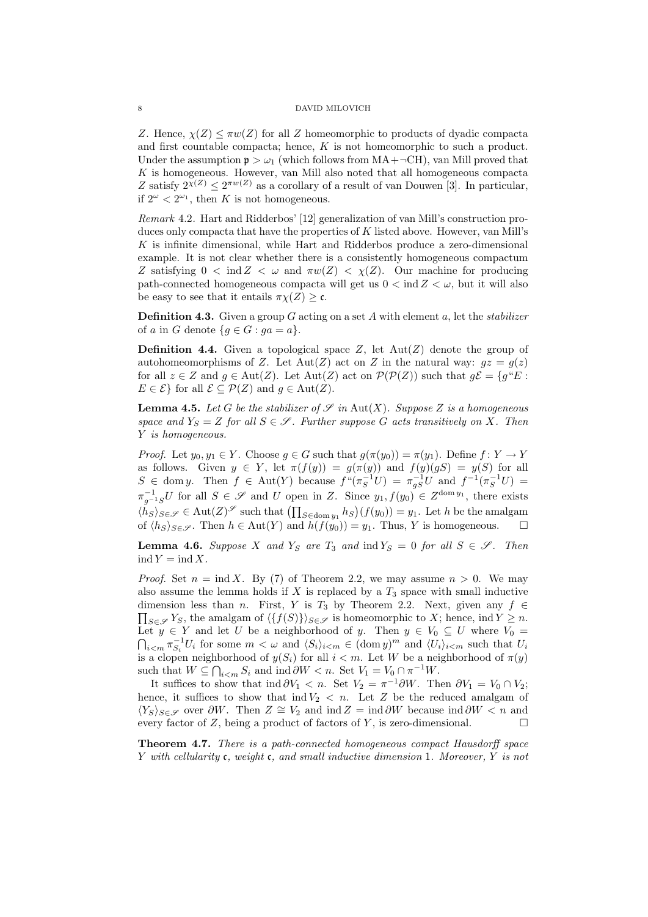Z. Hence,  $\chi(Z) \leq \pi w(Z)$  for all Z homeomorphic to products of dyadic compacta and first countable compacta; hence,  $K$  is not homeomorphic to such a product. Under the assumption  $p > \omega_1$  (which follows from MA+ $\neg$ CH), van Mill proved that  $K$  is homogeneous. However, van Mill also noted that all homogeneous compacta Z satisfy  $2^{\chi(Z)} \leq 2^{\pi w(Z)}$  as a corollary of a result of van Douwen [3]. In particular, if  $2^{\omega} < 2^{\omega_1}$ , then K is not homogeneous.

Remark 4.2. Hart and Ridderbos' [12] generalization of van Mill's construction produces only compacta that have the properties of K listed above. However, van Mill's  $K$  is infinite dimensional, while Hart and Ridderbos produce a zero-dimensional example. It is not clear whether there is a consistently homogeneous compactum Z satisfying  $0 < \text{ind } Z < \omega$  and  $\pi w(Z) < \chi(Z)$ . Our machine for producing path-connected homogeneous compacta will get us  $0 < \text{ind } Z < \omega$ , but it will also be easy to see that it entails  $\pi \chi(Z) \geq \mathfrak{c}$ .

**Definition 4.3.** Given a group G acting on a set A with element  $a$ , let the *stabilizer* of a in G denote  ${g \in G : ga = a}.$ 

**Definition 4.4.** Given a topological space Z, let  $Aut(Z)$  denote the group of autohomeomorphisms of Z. Let Aut(Z) act on Z in the natural way:  $gz = g(z)$ for all  $z \in Z$  and  $g \in Aut(Z)$ . Let  $Aut(Z)$  act on  $\mathcal{P}(\mathcal{P}(Z))$  such that  $g\mathcal{E} = \{g^*E :$  $E \in \mathcal{E}$  for all  $\mathcal{E} \subseteq \mathcal{P}(Z)$  and  $g \in \text{Aut}(Z)$ .

**Lemma 4.5.** Let G be the stabilizer of  $\mathscr S$  in Aut(X). Suppose Z is a homogeneous space and  $Y_S = Z$  for all  $S \in \mathscr{S}$ . Further suppose G acts transitively on X. Then Y is homogeneous.

*Proof.* Let  $y_0, y_1 \in Y$ . Choose  $g \in G$  such that  $g(\pi(y_0)) = \pi(y_1)$ . Define  $f: Y \to Y$ as follows. Given  $y \in Y$ , let  $\pi(f(y)) = g(\pi(y))$  and  $f(y)(gS) = y(S)$  for all  $S \in \text{dom } y$ . Then  $f \in \text{Aut}(Y)$  because  $f''(\pi_S^{-1}U) = \pi_{gS}^{-1}U$  and  $f^{-1}(\pi_S^{-1}U) =$  $\pi_{g^{-1}S}^{-1}U$  for all  $S \in \mathscr{S}$  and U open in Z. Since  $y_1, f(y_0) \in Z^{\text{dom } y_1}$ , there exists  $\langle h_S \rangle_{S \in \mathscr{S}} \in \text{Aut}(Z)^\mathscr{S}$  such that  $\left(\prod_{S \in \text{dom } y_1} h_S\right) (f(y_0)) = y_1$ . Let h be the amalgam of  $\langle h_S \rangle_{S \in \mathscr{S}}$ . Then  $h \in \text{Aut}(Y)$  and  $h(f(y_0)) = y_1$ . Thus, Y is homogeneous.  $\square$ 

**Lemma 4.6.** Suppose X and  $Y_S$  are  $T_3$  and  $\text{ind } Y_S = 0$  for all  $S \in \mathscr{S}$ . Then  $\operatorname{ind} Y = \operatorname{ind} X$ .

*Proof.* Set  $n = \text{ind } X$ . By (7) of Theorem 2.2, we may assume  $n > 0$ . We may also assume the lemma holds if  $X$  is replaced by a  $T_3$  space with small inductive  $\prod_{S \in \mathscr{S}} Y_S$ , the amalgam of  $\langle \{f(S)\} \rangle_{S \in \mathscr{S}}$  is homeomorphic to X; hence, ind  $Y \geq n$ . dimension less than n. First, Y is T<sub>3</sub> by Theorem 2.2. Next, given any  $f \in$ Let  $y \in Y$  and let U be a neighborhood of y. Then  $y \in V_0 \subseteq U$  where  $V_0 =$  $\bigcap_{i \leq m} \pi_{S_i}^{-1} U_i$  for some  $m < \omega$  and  $\langle S_i \rangle_{i \leq m} \in (\text{dom } y)^m$  and  $\langle U_i \rangle_{i \leq m}$  such that  $U_i$ is a clopen neighborhood of  $y(S_i)$  for all  $i < m$ . Let W be a neighborhood of  $\pi(y)$ such that  $W \subseteq \bigcap_{i \leq m} S_i$  and  $\text{ind } \partial W < n$ . Set  $V_1 = V_0 \cap \pi^{-1} W$ .

It suffices to show that  $\text{ind } \partial V_1 < n$ . Set  $V_2 = \pi^{-1} \partial W$ . Then  $\partial V_1 = V_0 \cap V_2$ ; hence, it suffices to show that  $\text{ind } V_2 < n$ . Let Z be the reduced amalgam of  $\langle Y_S \rangle_{S \in \mathscr{S}}$  over  $\partial W$ . Then  $Z \cong V_2$  and ind  $Z = \text{ind } \partial W$  because ind  $\partial W < n$  and every factor of  $Z$ , being a product of factors of  $Y$ , is zero-dimensional.

Theorem 4.7. There is a path-connected homogeneous compact Hausdorff space Y with cellularity c, weight c, and small inductive dimension 1. Moreover, Y is not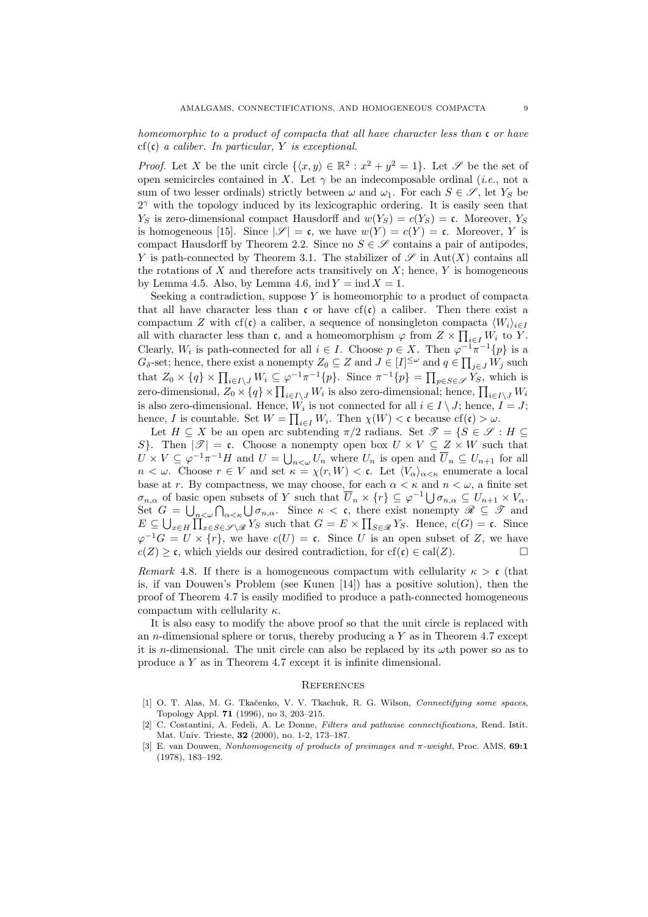homeomorphic to a product of compacta that all have character less than  $\mathfrak c$  or have  $cf(c)$  a caliber. In particular, Y is exceptional.

*Proof.* Let X be the unit circle  $\{\langle x, y \rangle \in \mathbb{R}^2 : x^2 + y^2 = 1\}$ . Let S be the set of open semicircles contained in X. Let  $\gamma$  be an indecomposable ordinal (*i.e.*, not a sum of two lesser ordinals) strictly between  $\omega$  and  $\omega_1$ . For each  $S \in \mathscr{S}$ , let  $Y_S$  be  $2^{\gamma}$  with the topology induced by its lexicographic ordering. It is easily seen that  $Y_S$  is zero-dimensional compact Hausdorff and  $w(Y_S) = c(Y_S) = c$ . Moreover,  $Y_S$ is homogeneous [15]. Since  $|\mathscr{S}| = \mathfrak{c}$ , we have  $w(Y) = c(Y) = \mathfrak{c}$ . Moreover, Y is compact Hausdorff by Theorem 2.2. Since no  $S \in \mathscr{S}$  contains a pair of antipodes, Y is path-connected by Theorem 3.1. The stabilizer of  $\mathscr S$  in Aut(X) contains all the rotations of X and therefore acts transitively on  $X$ ; hence, Y is homogeneous by Lemma 4.5. Also, by Lemma 4.6, ind  $Y = \text{ind } X = 1$ .

Seeking a contradiction, suppose Y is homeomorphic to a product of compacta that all have character less than  $\mathfrak{c}$  or have cf( $\mathfrak{c}$ ) a caliber. Then there exist a compactum Z with cf(c) a caliber, a sequence of nonsingleton compacta  $\langle W_i \rangle_{i \in I}$ all with character less than c, and a homeomorphism  $\varphi$  from  $Z \times \prod_{i \in I} W_i$  to Y. Clearly,  $W_i$  is path-connected for all  $i \in I$ . Choose  $p \in X$ . Then  $\varphi^{-1}\pi^{-1}{p}$  is a  $G_{\delta}$ -set; hence, there exist a nonempty  $Z_0 \subseteq Z$  and  $J \in [I]^{\leq \omega}$  and  $q \in \prod_{j \in J} W_j$  such that  $Z_0 \times \{q\} \times \prod_{i \in I \setminus J} W_i \subseteq \varphi^{-1} \pi^{-1} \{p\}$ . Since  $\pi^{-1} \{p\} = \prod_{p \in S \in \mathscr{S}} Y_S$ , which is zero-dimensional,  $Z_0 \times \{q\} \times \prod_{i \in I\setminus J} W_i$  is also zero-dimensional; hence,  $\prod_{i \in I\setminus J} W_i$ is also zero-dimensional. Hence,  $W_i$  is not connected for all  $i \in I \setminus J$ ; hence,  $I = J$ ; hence, I is countable. Set  $W = \prod_{i \in I} W_i$ . Then  $\chi(W) < \mathfrak{c}$  because  $cf(\mathfrak{c}) > \omega$ .

Let  $H \subseteq X$  be an open arc subtending  $\pi/2$  radians. Set  $\mathscr{T} = \{S \in \mathscr{S} : H \subseteq$ S}. Then  $|\mathscr{T}| = \mathfrak{c}$ . Choose a nonempty open box  $U \times V \subseteq Z \times W$  such that  $U \times V \subseteq \varphi^{-1} \pi^{-1} H$  and  $U = \bigcup_{n \leq \omega} U_n$  where  $U_n$  is open and  $\overline{U}_n \subseteq U_{n+1}$  for all  $n < \omega$ . Choose  $r \in V$  and set  $\kappa = \chi(r, W) < \mathfrak{c}$ . Let  $\langle V_{\alpha} \rangle_{\alpha \leq \kappa}$  enumerate a local base at r. By compactness, we may choose, for each  $\alpha < \kappa$  and  $n < \omega$ , a finite set  $\sigma_{n,\alpha}$  of basic open subsets of Y such that  $\overline{U}_n \times \{r\} \subseteq \varphi^{-1} \bigcup \sigma_{n,\alpha} \subseteq U_{n+1} \times V_\alpha$ . Set  $G = \bigcup_{n<\omega} \bigcap_{\alpha<\kappa} \bigcup \sigma_{n,\alpha}$ . Since  $\kappa < \mathfrak{c}$ , there exist nonempty  $\mathscr{R} \subseteq \mathscr{T}$  and  $E \subseteq \bigcup_{x \in H} \prod_{x \in S \in \mathscr{S} \setminus \mathscr{R}} Y_S$  such that  $G = E \times \prod_{S \in \mathscr{R}} Y_S$ . Hence,  $c(G) = c$ . Since  $\varphi^{-1}G = U \times \{r\}$ , we have  $c(U) = \mathfrak{c}$ . Since U is an open subset of Z, we have  $c(Z) \geq \mathfrak{c}$ , which yields our desired contradiction, for  $cf(\mathfrak{c}) \in cal(Z)$ .

Remark 4.8. If there is a homogeneous compactum with cellularity  $\kappa > c$  (that is, if van Douwen's Problem (see Kunen [14]) has a positive solution), then the proof of Theorem 4.7 is easily modified to produce a path-connected homogeneous compactum with cellularity  $\kappa$ .

It is also easy to modify the above proof so that the unit circle is replaced with an *n*-dimensional sphere or torus, thereby producing a  $Y$  as in Theorem 4.7 except it is *n*-dimensional. The unit circle can also be replaced by its  $\omega$ th power so as to produce a Y as in Theorem 4.7 except it is infinite dimensional.

#### **REFERENCES**

- [1] O. T. Alas, M. G. Tkačenko, V. V. Tkachuk, R. G. Wilson, *Connectifying some spaces*, Topology Appl. 71 (1996), no 3, 203–215.
- [2] C. Costantini, A. Fedeli, A. Le Donne, Filters and pathwise connectifications, Rend. Istit. Mat. Univ. Trieste, 32 (2000), no. 1-2, 173–187.
- [3] E. van Douwen, Nonhomogeneity of products of preimages and π-weight, Proc. AMS, 69:1 (1978), 183–192.